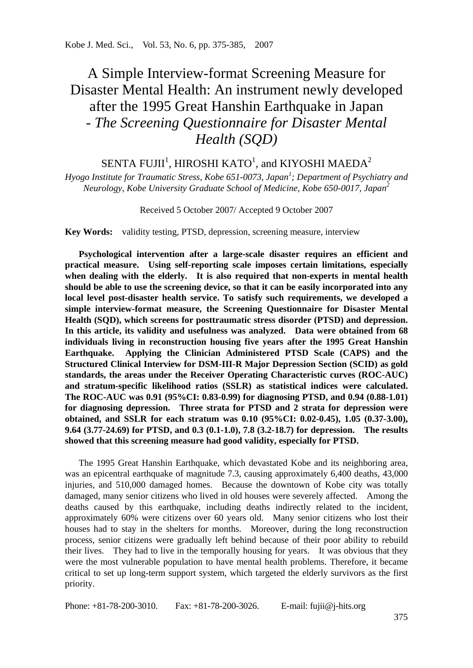# A Simple Interview-format Screening Measure for Disaster Mental Health: An instrument newly developed after the 1995 Great Hanshin Earthquake in Japan *- The Screening Questionnaire for Disaster Mental Health (SQD)*

# SENTA FUJII $^1$ , HIROSHI KATO $^1$ , and KIYOSHI MAEDA $^2$

*Hyogo Institute for Traumatic Stress, Kobe 651-0073, Japan<sup>1</sup> ; Department of Psychiatry and Neurology, Kobe University Graduate School of Medicine, Kobe 650-0017, Japan<sup>2</sup>*

Received 5 October 2007/ Accepted 9 October 2007

**Key Words:** validity testing, PTSD, depression, screening measure, interview

**Psychological intervention after a large-scale disaster requires an efficient and practical measure. Using self-reporting scale imposes certain limitations, especially when dealing with the elderly. It is also required that non-experts in mental health should be able to use the screening device, so that it can be easily incorporated into any local level post-disaster health service. To satisfy such requirements, we developed a simple interview-format measure, the Screening Questionnaire for Disaster Mental Health (SQD), which screens for posttraumatic stress disorder (PTSD) and depression. In this article, its validity and usefulness was analyzed. Data were obtained from 68 individuals living in reconstruction housing five years after the 1995 Great Hanshin Earthquake. Applying the Clinician Administered PTSD Scale (CAPS) and the Structured Clinical Interview for DSM-III-R Major Depression Section (SCID) as gold standards, the areas under the Receiver Operating Characteristic curves (ROC-AUC) and stratum-specific likelihood ratios (SSLR) as statistical indices were calculated. The ROC-AUC was 0.91 (95%CI: 0.83-0.99) for diagnosing PTSD, and 0.94 (0.88-1.01) for diagnosing depression. Three strata for PTSD and 2 strata for depression were obtained, and SSLR for each stratum was 0.10 (95%CI: 0.02-0.45), 1.05 (0.37-3.00), 9.64 (3.77-24.69) for PTSD, and 0.3 (0.1-1.0), 7.8 (3.2-18.7) for depression. The results showed that this screening measure had good validity, especially for PTSD.** 

The 1995 Great Hanshin Earthquake, which devastated Kobe and its neighboring area, was an epicentral earthquake of magnitude 7.3, causing approximately 6,400 deaths, 43,000 injuries, and 510,000 damaged homes. Because the downtown of Kobe city was totally damaged, many senior citizens who lived in old houses were severely affected. Among the deaths caused by this earthquake, including deaths indirectly related to the incident, approximately 60% were citizens over 60 years old. Many senior citizens who lost their houses had to stay in the shelters for months. Moreover, during the long reconstruction process, senior citizens were gradually left behind because of their poor ability to rebuild their lives. They had to live in the temporally housing for years. It was obvious that they were the most vulnerable population to have mental health problems. Therefore, it became critical to set up long-term support system, which targeted the elderly survivors as the first priority.

Phone: +81-78-200-3010. Fax: +81-78-200-3026. E-mail: fujii@j-hits.org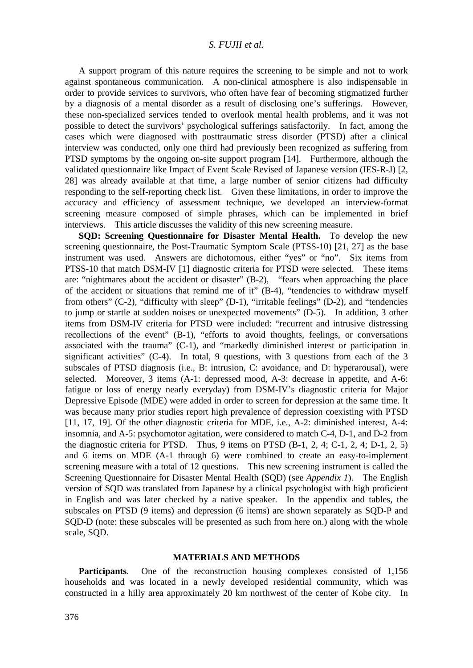A support program of this nature requires the screening to be simple and not to work against spontaneous communication. A non-clinical atmosphere is also indispensable in order to provide services to survivors, who often have fear of becoming stigmatized further by a diagnosis of a mental disorder as a result of disclosing one's sufferings. However, these non-specialized services tended to overlook mental health problems, and it was not possible to detect the survivors' psychological sufferings satisfactorily. In fact, among the cases which were diagnosed with posttraumatic stress disorder (PTSD) after a clinical interview was conducted, only one third had previously been recognized as suffering from PTSD symptoms by the ongoing on-site support program [14]. Furthermore, although the validated questionnaire like Impact of Event Scale Revised of Japanese version (IES-R-J) [2, 28] was already available at that time, a large number of senior citizens had difficulty responding to the self-reporting check list. Given these limitations, in order to improve the accuracy and efficiency of assessment technique, we developed an interview-format screening measure composed of simple phrases, which can be implemented in brief interviews. This article discusses the validity of this new screening measure.

**SQD: Screening Questionnaire for Disaster Mental Health.** To develop the new screening questionnaire, the Post-Traumatic Symptom Scale (PTSS-10) [21, 27] as the base instrument was used. Answers are dichotomous, either "yes" or "no". Six items from PTSS-10 that match DSM-IV [1] diagnostic criteria for PTSD were selected. These items are: "nightmares about the accident or disaster" (B-2), "fears when approaching the place of the accident or situations that remind me of it" (B-4), "tendencies to withdraw myself from others" (C-2), "difficulty with sleep" (D-1), "irritable feelings" (D-2), and "tendencies to jump or startle at sudden noises or unexpected movements" (D-5). In addition, 3 other items from DSM-IV criteria for PTSD were included: "recurrent and intrusive distressing recollections of the event" (B-1), "efforts to avoid thoughts, feelings, or conversations associated with the trauma" (C-1), and "markedly diminished interest or participation in significant activities" (C-4). In total, 9 questions, with 3 questions from each of the 3 subscales of PTSD diagnosis (i.e., B: intrusion, C: avoidance, and D: hyperarousal), were selected. Moreover, 3 items (A-1: depressed mood, A-3: decrease in appetite, and A-6: fatigue or loss of energy nearly everyday) from DSM-IV's diagnostic criteria for Major Depressive Episode (MDE) were added in order to screen for depression at the same time. It was because many prior studies report high prevalence of depression coexisting with PTSD [11, 17, 19]. Of the other diagnostic criteria for MDE, i.e., A-2: diminished interest, A-4: insomnia, and A-5: psychomotor agitation, were considered to match C-4, D-1, and D-2 from the diagnostic criteria for PTSD. Thus, 9 items on PTSD  $(B-1, 2, 4; C-1, 2, 4; D-1, 2, 5)$ and 6 items on MDE (A-1 through 6) were combined to create an easy-to-implement screening measure with a total of 12 questions. This new screening instrument is called the Screening Questionnaire for Disaster Mental Health (SQD) (see *Appendix 1*). The English version of SQD was translated from Japanese by a clinical psychologist with high proficient in English and was later checked by a native speaker. In the appendix and tables, the subscales on PTSD (9 items) and depression (6 items) are shown separately as SQD-P and SQD-D (note: these subscales will be presented as such from here on.) along with the whole scale, SQD.

#### **MATERIALS AND METHODS**

**Participants**. One of the reconstruction housing complexes consisted of 1,156 households and was located in a newly developed residential community, which was constructed in a hilly area approximately 20 km northwest of the center of Kobe city. In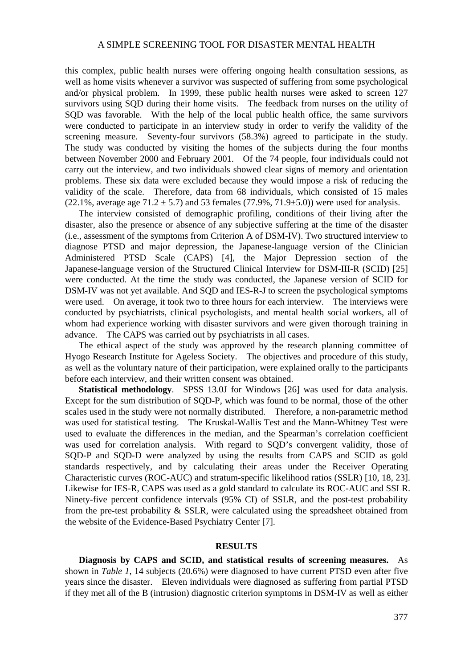this complex, public health nurses were offering ongoing health consultation sessions, as well as home visits whenever a survivor was suspected of suffering from some psychological and/or physical problem. In 1999, these public health nurses were asked to screen 127 survivors using SQD during their home visits. The feedback from nurses on the utility of SQD was favorable. With the help of the local public health office, the same survivors were conducted to participate in an interview study in order to verify the validity of the screening measure. Seventy-four survivors (58.3%) agreed to participate in the study. The study was conducted by visiting the homes of the subjects during the four months between November 2000 and February 2001. Of the 74 people, four individuals could not carry out the interview, and two individuals showed clear signs of memory and orientation problems. These six data were excluded because they would impose a risk of reducing the validity of the scale. Therefore, data from 68 individuals, which consisted of 15 males (22.1%, average age  $71.2 \pm 5.7$ ) and 53 females (77.9%, 71.9 $\pm$ 5.0)) were used for analysis.

The interview consisted of demographic profiling, conditions of their living after the disaster, also the presence or absence of any subjective suffering at the time of the disaster (i.e., assessment of the symptoms from Criterion A of DSM-IV). Two structured interview to diagnose PTSD and major depression, the Japanese-language version of the Clinician Administered PTSD Scale (CAPS) [4], the Major Depression section of the Japanese-language version of the Structured Clinical Interview for DSM-III-R (SCID) [25] were conducted. At the time the study was conducted, the Japanese version of SCID for DSM-IV was not yet available. And SQD and IES-R-J to screen the psychological symptoms were used. On average, it took two to three hours for each interview. The interviews were conducted by psychiatrists, clinical psychologists, and mental health social workers, all of whom had experience working with disaster survivors and were given thorough training in advance. The CAPS was carried out by psychiatrists in all cases.

The ethical aspect of the study was approved by the research planning committee of Hyogo Research Institute for Ageless Society. The objectives and procedure of this study, as well as the voluntary nature of their participation, were explained orally to the participants before each interview, and their written consent was obtained.

**Statistical methodology**. SPSS 13.0J for Windows [26] was used for data analysis. Except for the sum distribution of SQD-P, which was found to be normal, those of the other scales used in the study were not normally distributed. Therefore, a non-parametric method was used for statistical testing. The Kruskal-Wallis Test and the Mann-Whitney Test were used to evaluate the differences in the median, and the Spearman's correlation coefficient was used for correlation analysis. With regard to SQD's convergent validity, those of SQD-P and SQD-D were analyzed by using the results from CAPS and SCID as gold standards respectively, and by calculating their areas under the Receiver Operating Characteristic curves (ROC-AUC) and stratum-specific likelihood ratios (SSLR) [10, 18, 23]. Likewise for IES-R, CAPS was used as a gold standard to calculate its ROC-AUC and SSLR. Ninety-five percent confidence intervals (95% CI) of SSLR, and the post-test probability from the pre-test probability & SSLR, were calculated using the spreadsheet obtained from the website of the Evidence-Based Psychiatry Center [7].

#### **RESULTS**

**Diagnosis by CAPS and SCID, and statistical results of screening measures.** As shown in *Table 1*, 14 subjects (20.6%) were diagnosed to have current PTSD even after five years since the disaster. Eleven individuals were diagnosed as suffering from partial PTSD if they met all of the B (intrusion) diagnostic criterion symptoms in DSM-IV as well as either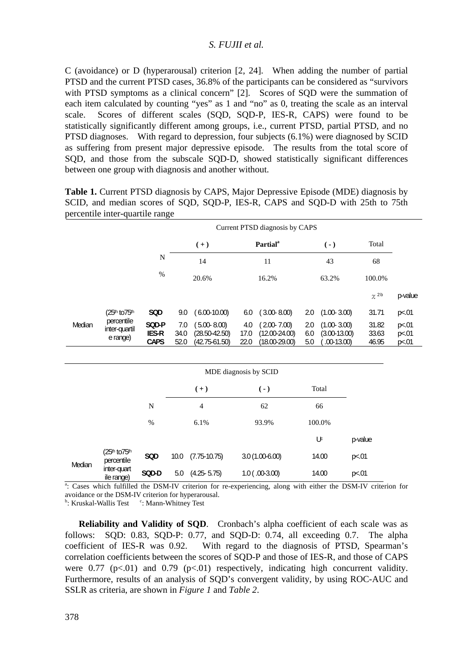C (avoidance) or D (hyperarousal) criterion [2, 24]. When adding the number of partial PTSD and the current PTSD cases, 36.8% of the participants can be considered as "survivors with PTSD symptoms as a clinical concern" [2]. Scores of SOD were the summation of each item calculated by counting "yes" as 1 and "no" as 0, treating the scale as an interval scale. Scores of different scales (SQD, SQD-P, IES-R, CAPS) were found to be statistically significantly different among groups, i.e., current PTSD, partial PTSD, and no PTSD diagnoses. With regard to depression, four subjects (6.1%) were diagnosed by SCID as suffering from present major depressive episode. The results from the total score of SQD, and those from the subscale SQD-D, showed statistically significant differences between one group with diagnosis and another without.

|        | Current PTSD diagnosis by CAPS          |                               |                     |                                                           |                                            |                                                           |                      |                                                   |             |                         |                         |
|--------|-----------------------------------------|-------------------------------|---------------------|-----------------------------------------------------------|--------------------------------------------|-----------------------------------------------------------|----------------------|---------------------------------------------------|-------------|-------------------------|-------------------------|
|        |                                         |                               |                     | $(+)$                                                     | <b>Partial</b> <sup>a</sup><br>11<br>16.2% |                                                           | $(-)$<br>43<br>63.2% |                                                   | Total<br>68 |                         |                         |
|        |                                         | $\mathbf N$                   |                     | 14                                                        |                                            |                                                           |                      |                                                   |             |                         |                         |
|        |                                         | %                             |                     | 20.6%                                                     |                                            |                                                           |                      |                                                   | 100.0%      |                         |                         |
|        |                                         |                               |                     |                                                           |                                            |                                                           |                      |                                                   |             | $\chi^{2b}$             | p-value                 |
|        | (25th to 75th                           | SQD                           | 9.0                 | $(6.00-10.00)$                                            | 6.0                                        | $(3.00 - 8.00)$                                           | 2.0                  | $(1.00 - 3.00)$                                   |             | 31.71                   | p<.01                   |
| Median | percentile<br>inter-quartil<br>e range) | SQD-P<br>IES-R<br><b>CAPS</b> | 7.0<br>34.0<br>52.0 | $(5.00 - 8.00)$<br>$(28.50 - 42.50)$<br>$(42.75 - 61.50)$ | 4.0<br>17.0<br>22.0                        | $(2.00 - 7.00)$<br>$(12.00 - 24.00)$<br>$(18.00 - 29.00)$ | 2.0<br>6.0<br>5.0    | $(1.00 - 3.00)$<br>$(3.00-13.00)$<br>$.00-13.00)$ |             | 31.82<br>33.63<br>46.95 | p<.01<br>p<.01<br>p<.01 |
|        |                                         |                               |                     | MDE diagnosis by SCID                                     |                                            |                                                           |                      |                                                   |             |                         |                         |
|        |                                         |                               |                     | $(+)$                                                     |                                            | $(-)$                                                     | Total                |                                                   |             |                         |                         |
|        |                                         | N                             |                     | $\overline{4}$                                            |                                            | 62                                                        |                      | 66                                                |             |                         |                         |
|        |                                         | %                             |                     | 6.1%                                                      |                                            | 93.9%                                                     |                      | 100.0%                                            |             |                         |                         |
|        |                                         |                               |                     |                                                           |                                            |                                                           |                      | Uc                                                | p-value     |                         |                         |
| Median | (25th to 75th<br>percentile             | SQD                           | 10.0                | $(7.75-10.75)$                                            |                                            | $3.0(1.00-6.00)$                                          |                      | 14.00                                             | p<.01       |                         |                         |

**Table 1.** Current PTSD diagnosis by CAPS, Major Depressive Episode (MDE) diagnosis by SCID, and median scores of SQD, SQD-P, IES-R, CAPS and SQD-D with 25th to 75th percentile inter-quartile range

ile range) **SQD-D** 5.0 (4.25- 5.75) 1.0 ( .00- 3.00) 14.00 p<.01 a: Cases which fulfilled the DSM-IV criterion for re-experiencing, along with either the DSM-IV criterion for avoidance or the DSM-IV criterion for hyperarousal.

<sup>b</sup>: Kruskal-Wallis Test <sup>c</sup>: Mann-Whitney Test

inter-quart

**Reliability and Validity of SQD**. Cronbach's alpha coefficient of each scale was as follows: SQD: 0.83, SQD-P: 0.77, and SQD-D: 0.74, all exceeding 0.7. The alpha coefficient of IES-R was 0.92. With regard to the diagnosis of PTSD, Spearman's correlation coefficients between the scores of SQD-P and those of IES-R, and those of CAPS were  $0.77$  (p<.01) and  $0.79$  (p<.01) respectively, indicating high concurrent validity. Furthermore, results of an analysis of SQD's convergent validity, by using ROC-AUC and SSLR as criteria, are shown in *Figure 1* and *Table 2*.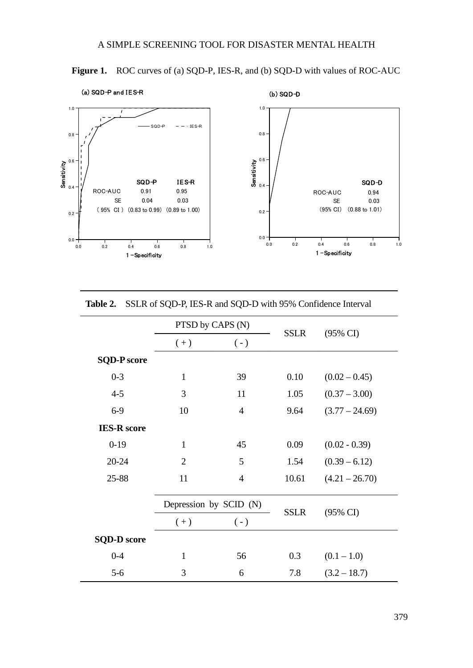

Figure 1. ROC curves of (a) SQD-P, IES-R, and (b) SQD-D with values of ROC-AUC

|                    | PTSD by CAPS (N)       |                |             |                     |  |  |
|--------------------|------------------------|----------------|-------------|---------------------|--|--|
|                    | $(+)$                  | $(-)$          | <b>SSLR</b> | $(95\% \text{ CI})$ |  |  |
| <b>SQD-P</b> score |                        |                |             |                     |  |  |
| $0 - 3$            | $\mathbf{1}$           | 39             | 0.10        | $(0.02 - 0.45)$     |  |  |
| $4 - 5$            | 3                      | 11             | 1.05        | $(0.37 - 3.00)$     |  |  |
| $6-9$              | 10                     | $\overline{4}$ | 9.64        | $(3.77 - 24.69)$    |  |  |
| <b>IES-R</b> score |                        |                |             |                     |  |  |
| $0-19$             | $\mathbf{1}$           | 45             | 0.09        | $(0.02 - 0.39)$     |  |  |
| 20-24              | $\mathfrak{D}$         | 5              | 1.54        | $(0.39 - 6.12)$     |  |  |
| 25-88              | 11                     | $\overline{4}$ | 10.61       | $(4.21 - 26.70)$    |  |  |
|                    | Depression by SCID (N) |                | <b>SSLR</b> | $(95\% \text{ CI})$ |  |  |
|                    | $(+)$                  | $(-)$          |             |                     |  |  |
| <b>SQD-D</b> score |                        |                |             |                     |  |  |
| $0 - 4$            | $\mathbf{1}$           | 56             | 0.3         | $(0.1 - 1.0)$       |  |  |
| $5-6$              | 3                      | 6              | 7.8         | $(3.2 - 18.7)$      |  |  |

**Table 2.** SSLR of SQD-P, IES-R and SQD-D with 95% Confidence Interval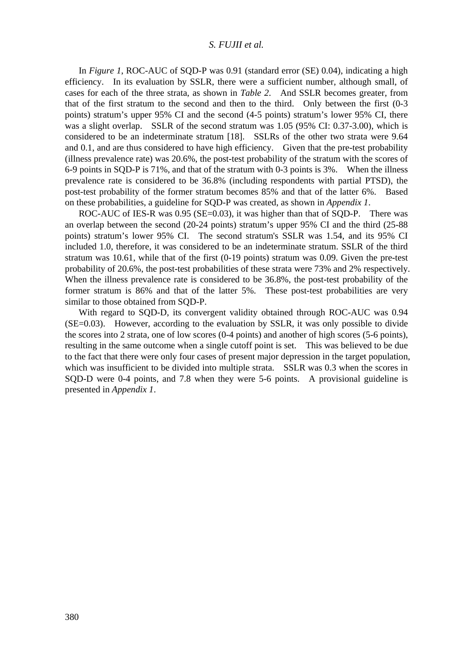In *Figure 1*, ROC-AUC of SOD-P was 0.91 (standard error (SE) 0.04), indicating a high efficiency. In its evaluation by SSLR, there were a sufficient number, although small, of cases for each of the three strata, as shown in *Table 2*. And SSLR becomes greater, from that of the first stratum to the second and then to the third. Only between the first (0-3 points) stratum's upper 95% CI and the second (4-5 points) stratum's lower 95% CI, there was a slight overlap. SSLR of the second stratum was 1.05 (95% CI: 0.37-3.00), which is considered to be an indeterminate stratum [18]. SSLRs of the other two strata were 9.64 and 0.1, and are thus considered to have high efficiency. Given that the pre-test probability (illness prevalence rate) was 20.6%, the post-test probability of the stratum with the scores of 6-9 points in SQD-P is 71%, and that of the stratum with 0-3 points is 3%. When the illness prevalence rate is considered to be 36.8% (including respondents with partial PTSD), the post-test probability of the former stratum becomes 85% and that of the latter 6%. Based on these probabilities, a guideline for SQD-P was created, as shown in *Appendix 1*.

ROC-AUC of IES-R was 0.95 (SE=0.03), it was higher than that of SOD-P. There was an overlap between the second (20-24 points) stratum's upper 95% CI and the third (25-88 points) stratum's lower 95% CI. The second stratum's SSLR was 1.54, and its 95% CI included 1.0, therefore, it was considered to be an indeterminate stratum. SSLR of the third stratum was 10.61, while that of the first (0-19 points) stratum was 0.09. Given the pre-test probability of 20.6%, the post-test probabilities of these strata were 73% and 2% respectively. When the illness prevalence rate is considered to be 36.8%, the post-test probability of the former stratum is 86% and that of the latter 5%. These post-test probabilities are very similar to those obtained from SQD-P.

With regard to SQD-D, its convergent validity obtained through ROC-AUC was 0.94 (SE=0.03). However, according to the evaluation by SSLR, it was only possible to divide the scores into 2 strata, one of low scores (0-4 points) and another of high scores (5-6 points), resulting in the same outcome when a single cutoff point is set. This was believed to be due to the fact that there were only four cases of present major depression in the target population, which was insufficient to be divided into multiple strata. SSLR was 0.3 when the scores in SQD-D were 0-4 points, and 7.8 when they were 5-6 points. A provisional guideline is presented in *Appendix 1*.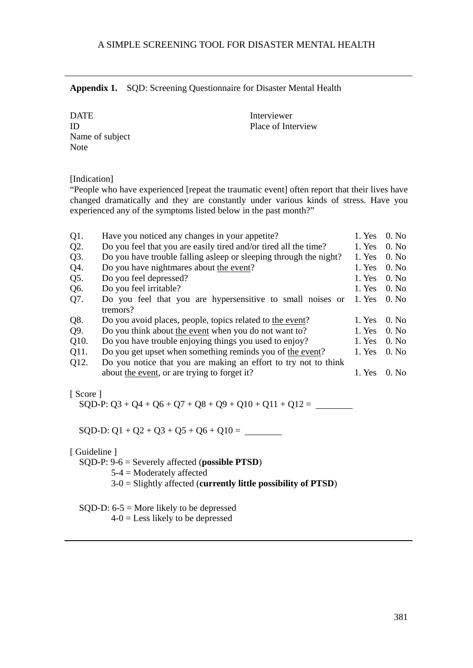**Appendix 1.** SQD: Screening Questionnaire for Disaster Mental Health

DATE Interviewer Name of subject **Note** 

ID Place of Interview

[Indication]

"People who have experienced [repeat the traumatic event] often report that their lives have changed dramatically and they are constantly under various kinds of stress. Have you experienced any of the symptoms listed below in the past month?"

| $Q1$ .            | Have you noticed any changes in your appetite?                    | 1. Yes | $0.$ No           |
|-------------------|-------------------------------------------------------------------|--------|-------------------|
| Q2.               | Do you feel that you are easily tired and/or tired all the time?  | 1. Yes | 0. N <sub>0</sub> |
| Q3.               | Do you have trouble falling asleep or sleeping through the night? | 1. Yes | $0.$ No           |
| Q4.               | Do you have nightmares about the event?                           | 1. Yes | 0. N <sub>0</sub> |
| Q5.               | Do you feel depressed?                                            | 1. Yes | $0.$ No           |
| Q6.               | Do you feel irritable?                                            | 1. Yes | $0.$ No           |
| Q7.               | Do you feel that you are hypersensitive to small noises or        | 1. Yes | $0.$ No           |
|                   | tremors?                                                          |        |                   |
| Q8.               | Do you avoid places, people, topics related to the event?         | 1. Yes | $0.$ No           |
| Q9.               | Do you think about the event when you do not want to?             | 1. Yes | $0.$ No           |
| O <sub>10</sub> . | Do you have trouble enjoying things you used to enjoy?            | 1. Yes | $0.$ No           |
| O <sub>11</sub> . | Do you get upset when something reminds you of the event?         | 1. Yes | $0.$ No           |
| Q12.              | Do you notice that you are making an effort to try not to think   |        |                   |
|                   | about the event, or are trying to forget it?                      | 1. Yes | $0.$ No           |
|                   |                                                                   |        |                   |

[ Score ]

SQD-P:  $Q3 + Q4 + Q6 + Q7 + Q8 + Q9 + Q10 + Q11 + Q12 =$ 

SQD-D:  $Q1 + Q2 + Q3 + Q5 + Q6 + Q10 =$ 

[ Guideline ]

SQD-P: 9-6 = Severely affected (**possible PTSD**)

5-4 = Moderately affected

3-0 = Slightly affected (**currently little possibility of PTSD**)

SQD-D: 6-5 = More likely to be depressed

 $4-0 =$  Less likely to be depressed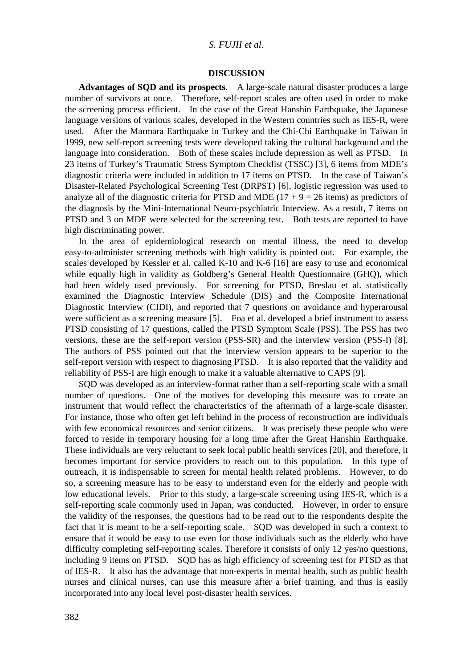#### **DISCUSSION**

**Advantages of SQD and its prospects**. A large-scale natural disaster produces a large number of survivors at once. Therefore, self-report scales are often used in order to make the screening process efficient. In the case of the Great Hanshin Earthquake, the Japanese language versions of various scales, developed in the Western countries such as IES-R, were used. After the Marmara Earthquake in Turkey and the Chi-Chi Earthquake in Taiwan in 1999, new self-report screening tests were developed taking the cultural background and the language into consideration. Both of these scales include depression as well as PTSD. In 23 items of Turkey's Traumatic Stress Symptom Checklist (TSSC) [3], 6 items from MDE's diagnostic criteria were included in addition to 17 items on PTSD. In the case of Taiwan's Disaster-Related Psychological Screening Test (DRPST) [6], logistic regression was used to analyze all of the diagnostic criteria for PTSD and MDE ( $17 + 9 = 26$  items) as predictors of the diagnosis by the Mini-International Neuro-psychiatric Interview. As a result, 7 items on PTSD and 3 on MDE were selected for the screening test. Both tests are reported to have high discriminating power.

In the area of epidemiological research on mental illness, the need to develop easy-to-administer screening methods with high validity is pointed out. For example, the scales developed by Kessler et al. called K-10 and K-6 [16] are easy to use and economical while equally high in validity as Goldberg's General Health Questionnaire (GHQ), which had been widely used previously. For screening for PTSD, Breslau et al. statistically examined the Diagnostic Interview Schedule (DIS) and the Composite International Diagnostic Interview (CIDI), and reported that 7 questions on avoidance and hyperarousal were sufficient as a screening measure [5]. Foa et al. developed a brief instrument to assess PTSD consisting of 17 questions, called the PTSD Symptom Scale (PSS). The PSS has two versions, these are the self-report version (PSS-SR) and the interview version (PSS-I) [8]. The authors of PSS pointed out that the interview version appears to be superior to the self-report version with respect to diagnosing PTSD. It is also reported that the validity and reliability of PSS-I are high enough to make it a valuable alternative to CAPS [9].

SQD was developed as an interview-format rather than a self-reporting scale with a small number of questions. One of the motives for developing this measure was to create an instrument that would reflect the characteristics of the aftermath of a large-scale disaster. For instance, those who often get left behind in the process of reconstruction are individuals with few economical resources and senior citizens. It was precisely these people who were forced to reside in temporary housing for a long time after the Great Hanshin Earthquake. These individuals are very reluctant to seek local public health services [20], and therefore, it becomes important for service providers to reach out to this population. In this type of outreach, it is indispensable to screen for mental health related problems. However, to do so, a screening measure has to be easy to understand even for the elderly and people with low educational levels. Prior to this study, a large-scale screening using IES-R, which is a self-reporting scale commonly used in Japan, was conducted. However, in order to ensure the validity of the responses, the questions had to be read out to the respondents despite the fact that it is meant to be a self-reporting scale. SQD was developed in such a context to ensure that it would be easy to use even for those individuals such as the elderly who have difficulty completing self-reporting scales. Therefore it consists of only 12 yes/no questions, including 9 items on PTSD. SQD has as high efficiency of screening test for PTSD as that of IES-R. It also has the advantage that non-experts in mental health, such as public health nurses and clinical nurses, can use this measure after a brief training, and thus is easily incorporated into any local level post-disaster health services.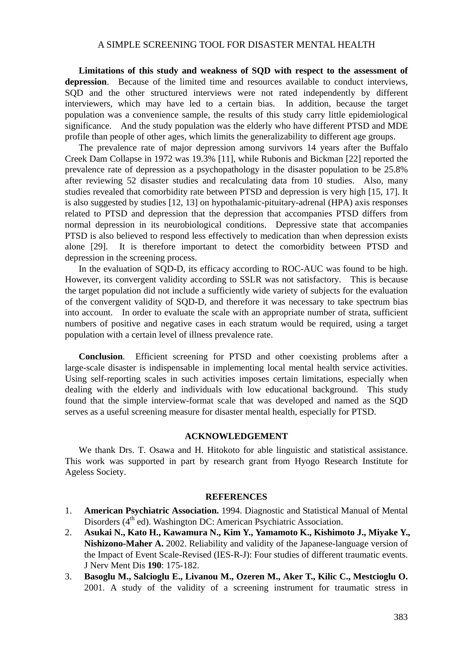# A SIMPLE SCREENING TOOL FOR DISASTER MENTAL HEALTH

**Limitations of this study and weakness of SQD with respect to the assessment of depression**. Because of the limited time and resources available to conduct interviews, SQD and the other structured interviews were not rated independently by different interviewers, which may have led to a certain bias. In addition, because the target population was a convenience sample, the results of this study carry little epidemiological significance. And the study population was the elderly who have different PTSD and MDE profile than people of other ages, which limits the generalizability to different age groups.

The prevalence rate of major depression among survivors 14 years after the Buffalo Creek Dam Collapse in 1972 was 19.3% [11], while Rubonis and Bickman [22] reported the prevalence rate of depression as a psychopathology in the disaster population to be 25.8% after reviewing 52 disaster studies and recalculating data from 10 studies. Also, many studies revealed that comorbidity rate between PTSD and depression is very high [15, 17]. It is also suggested by studies [12, 13] on hypothalamic-pituitary-adrenal (HPA) axis responses related to PTSD and depression that the depression that accompanies PTSD differs from normal depression in its neurobiological conditions. Depressive state that accompanies PTSD is also believed to respond less effectively to medication than when depression exists alone [29]. It is therefore important to detect the comorbidity between PTSD and depression in the screening process.

In the evaluation of SQD-D, its efficacy according to ROC-AUC was found to be high. However, its convergent validity according to SSLR was not satisfactory. This is because the target population did not include a sufficiently wide variety of subjects for the evaluation of the convergent validity of SQD-D, and therefore it was necessary to take spectrum bias into account. In order to evaluate the scale with an appropriate number of strata, sufficient numbers of positive and negative cases in each stratum would be required, using a target population with a certain level of illness prevalence rate.

**Conclusion**. Efficient screening for PTSD and other coexisting problems after a large-scale disaster is indispensable in implementing local mental health service activities. Using self-reporting scales in such activities imposes certain limitations, especially when dealing with the elderly and individuals with low educational background. This study found that the simple interview-format scale that was developed and named as the SQD serves as a useful screening measure for disaster mental health, especially for PTSD.

#### **ACKNOWLEDGEMENT**

We thank Drs. T. Osawa and H. Hitokoto for able linguistic and statistical assistance. This work was supported in part by research grant from Hyogo Research Institute for Ageless Society.

#### **REFERENCES**

- 1. **American Psychiatric Association.** 1994. Diagnostic and Statistical Manual of Mental Disorders (4<sup>th</sup> ed). Washington DC: American Psychiatric Association.
- 2. **Asukai N., Kato H., Kawamura N., Kim Y., Yamamoto K., Kishimoto J., Miyake Y., Nishizono-Maher A.** 2002. Reliability and validity of the Japanese-language version of the Impact of Event Scale-Revised (IES-R-J): Four studies of different traumatic events. J Nerv Ment Dis **190**: 175-182.
- 3. **Basoglu M., Salcioglu E., Livanou M., Ozeren M., Aker T., Kilic C., Mestcioglu O.** 2001. A study of the validity of a screening instrument for traumatic stress in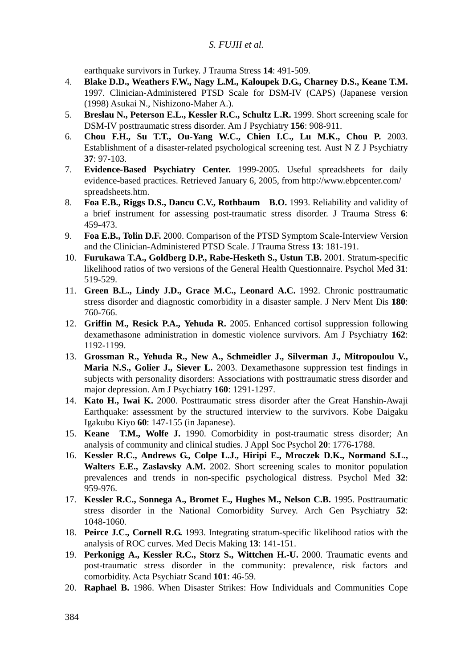earthquake survivors in Turkey. J Trauma Stress **14**: 491-509.

- 4. **Blake D.D., Weathers F.W., Nagy L.M., Kaloupek D.G., Charney D.S., Keane T.M.** 1997. Clinician-Administered PTSD Scale for DSM-IV (CAPS) (Japanese version (1998) Asukai N., Nishizono-Maher A.).
- 5. **Breslau N., Peterson E.L., Kessler R.C., Schultz L.R.** 1999. Short screening scale for DSM-IV posttraumatic stress disorder. Am J Psychiatry **156**: 908-911.
- 6. **Chou F.H., Su T.T., Ou-Yang W.C., Chien I.C., Lu M.K., Chou P.** 2003. Establishment of a disaster-related psychological screening test. Aust N Z J Psychiatry **37**: 97-103.
- 7. **Evidence-Based Psychiatry Center.** 1999-2005. Useful spreadsheets for daily evidence-based practices. Retrieved January 6, 2005, from http://www.ebpcenter.com/ spreadsheets.htm.
- 8. **Foa E.B., Riggs D.S., Dancu C.V., Rothbaum B.O.** 1993. Reliability and validity of a brief instrument for assessing post-traumatic stress disorder. J Trauma Stress **6**: 459-473.
- 9. **Foa E.B., Tolin D.F.** 2000. Comparison of the PTSD Symptom Scale-Interview Version and the Clinician-Administered PTSD Scale. J Trauma Stress **13**: 181-191.
- 10. **Furukawa T.A., Goldberg D.P., Rabe-Hesketh S., Ustun T.B.** 2001. Stratum-specific likelihood ratios of two versions of the General Health Questionnaire. Psychol Med **31**: 519-529.
- 11. **Green B.L., Lindy J.D., Grace M.C., Leonard A.C.** 1992. Chronic posttraumatic stress disorder and diagnostic comorbidity in a disaster sample. J Nerv Ment Dis **180**: 760-766.
- 12. **Griffin M., Resick P.A., Yehuda R.** 2005. Enhanced cortisol suppression following dexamethasone administration in domestic violence survivors. Am J Psychiatry **162**: 1192-1199.
- 13. **Grossman R., Yehuda R., New A., Schmeidler J., Silverman J., Mitropoulou V., Maria N.S., Golier J., Siever L.** 2003. Dexamethasone suppression test findings in subjects with personality disorders: Associations with posttraumatic stress disorder and major depression. Am J Psychiatry **160**: 1291-1297.
- 14. **Kato H., Iwai K.** 2000. Posttraumatic stress disorder after the Great Hanshin-Awaji Earthquake: assessment by the structured interview to the survivors. Kobe Daigaku Igakubu Kiyo **60**: 147-155 (in Japanese).
- 15. **Keane T.M., Wolfe J.** 1990. Comorbidity in post-traumatic stress disorder; An analysis of community and clinical studies. J Appl Soc Psychol **20**: 1776-1788.
- 16. **Kessler R.C., Andrews G., Colpe L.J., Hiripi E., Mroczek D.K., Normand S.L., Walters E.E., Zaslavsky A.M.** 2002. Short screening scales to monitor population prevalences and trends in non-specific psychological distress. Psychol Med **32**: 959-976.
- 17. **Kessler R.C., Sonnega A., Bromet E., Hughes M., Nelson C.B.** 1995. Posttraumatic stress disorder in the National Comorbidity Survey. Arch Gen Psychiatry **52**: 1048-1060.
- 18. **Peirce J.C., Cornell R.G.** 1993. Integrating stratum-specific likelihood ratios with the analysis of ROC curves. Med Decis Making **13**: 141-151.
- 19. **Perkonigg A., Kessler R.C., Storz S., Wittchen H.-U.** 2000. Traumatic events and post-traumatic stress disorder in the community: prevalence, risk factors and comorbidity. Acta Psychiatr Scand **101**: 46-59.
- 20. **Raphael B.** 1986. When Disaster Strikes: How Individuals and Communities Cope